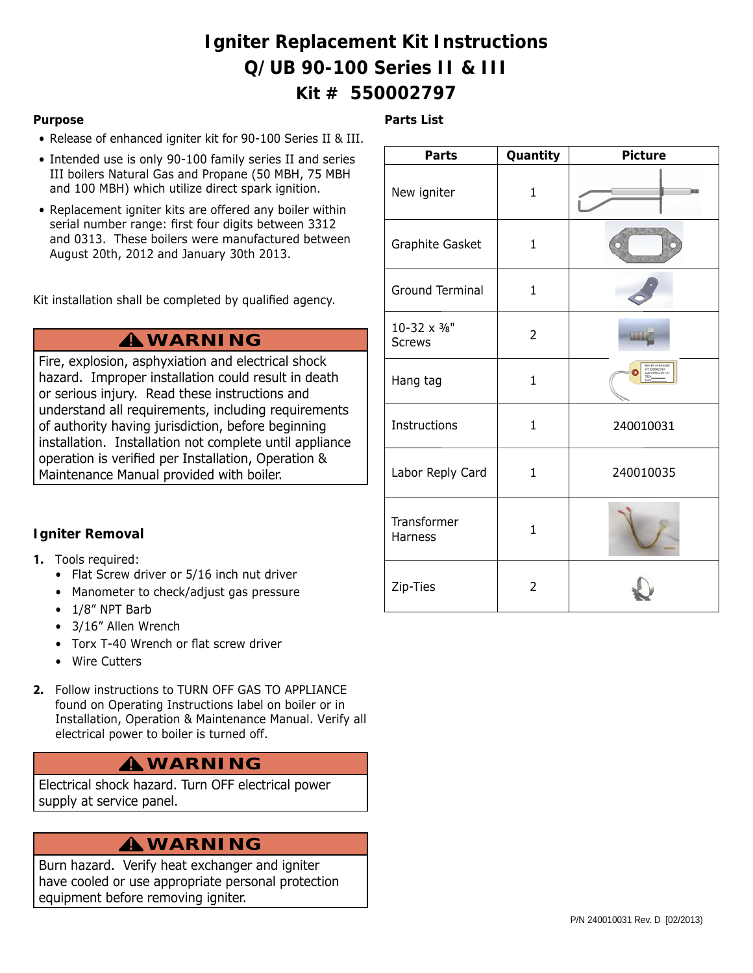# **Igniter Replacement Kit Instructions Q/UB 90-100 Series II & III Kit # 550002797**

**Parts List**

#### **Purpose**

- Release of enhanced igniter kit for 90-100 Series II & III.
- Intended use is only 90-100 family series II and series III boilers Natural Gas and Propane (50 MBH, 75 MBH and 100 MBH) which utilize direct spark ignition.
- Replacement igniter kits are offered any boiler within serial number range: first four digits between 3312 and 0313. These boilers were manufactured between August 20th, 2012 and January 30th 2013.

Kit installation shall be completed by qualified agency.

# **WARNING !**

Fire, explosion, asphyxiation and electrical shock hazard. Improper installation could result in death or serious injury. Read these instructions and understand all requirements, including requirements of authority having jurisdiction, before beginning installation. Installation not complete until appliance operation is verified per Installation, Operation & Maintenance Manual provided with boiler.

### **Igniter Removal**

- **1.** Tools required:
	- Flat Screw driver or 5/16 inch nut driver
	- Manometer to check/adjust gas pressure
	- 1/8" NPT Barb
	- 3/16" Allen Wrench
	- Torx T-40 Wrench or flat screw driver
	- Wire Cutters
- **2.** Follow instructions to TURN OFF GAS TO APPLIANCE found on Operating Instructions label on boiler or in Installation, Operation & Maintenance Manual. Verify all electrical power to boiler is turned off.

# **WARNING !**

Electrical shock hazard. Turn OFF electrical power supply at service panel.

# **WARNING !**

Burn hazard. Verify heat exchanger and igniter have cooled or use appropriate personal protection equipment before removing igniter.

| <b>Parts</b>                  | Quantity       | <b>Picture</b>                                   |
|-------------------------------|----------------|--------------------------------------------------|
| New igniter                   | $\overline{1}$ |                                                  |
| Graphite Gasket               | $\mathbf{1}$   |                                                  |
| Ground Terminal               | $\mathbf{1}$   |                                                  |
| 10-32 x 3/8"<br><b>Screws</b> | $\overline{2}$ | <b>CONTENT</b>                                   |
| Hang tag                      | 1              | BOILER UPGRADE<br>IT SOCCORPAT<br>LAS PORSILIDES |
| Instructions                  | $\mathbf{1}$   | 240010031                                        |
| Labor Reply Card              | $\mathbf 1$    | 240010035                                        |
| Transformer<br><b>Harness</b> | $\mathbf{1}$   |                                                  |
| Zip-Ties                      | 2              |                                                  |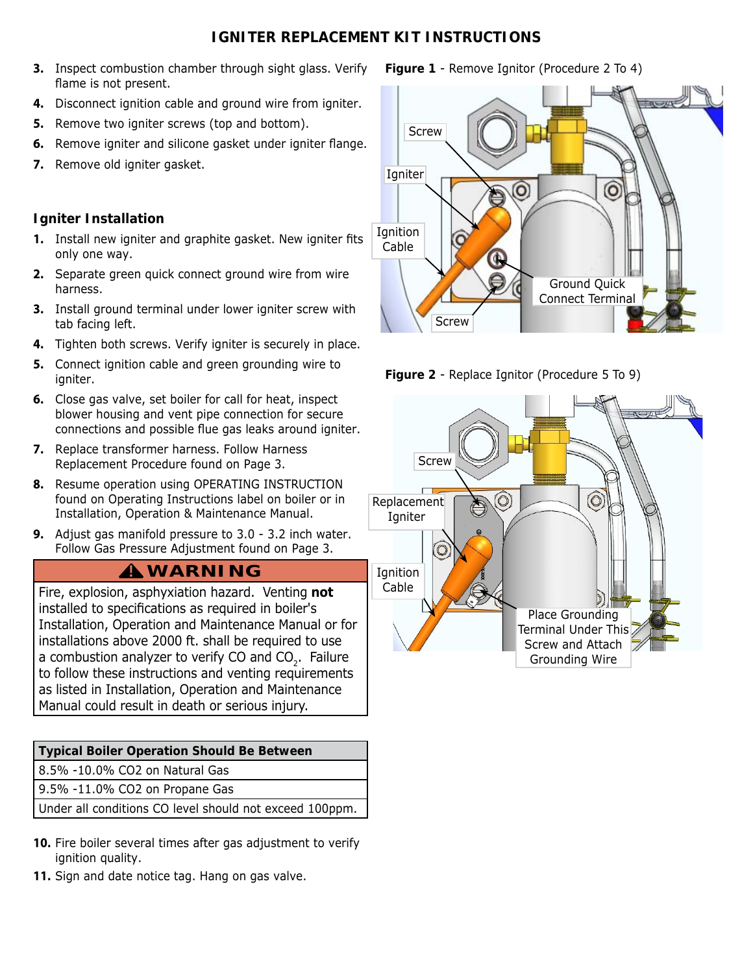### **IGNITER REPLACEMENT KIT INSTRUCTIONS**

- **3.** Inspect combustion chamber through sight glass. Verify flame is not present.
- **4.** Disconnect ignition cable and ground wire from igniter.
- **5.** Remove two igniter screws (top and bottom).
- **6.** Remove igniter and silicone gasket under igniter flange.
- **7.** Remove old igniter gasket.

### **Igniter Installation**

- **1.** Install new igniter and graphite gasket. New igniter fits only one way.
- **2.** Separate green quick connect ground wire from wire harness.
- **3.** Install ground terminal under lower igniter screw with tab facing left.
- **4.** Tighten both screws. Verify igniter is securely in place.
- **5.** Connect ignition cable and green grounding wire to igniter.
- **6.** Close gas valve, set boiler for call for heat, inspect blower housing and vent pipe connection for secure connections and possible flue gas leaks around igniter.
- **7.** Replace transformer harness. Follow Harness Replacement Procedure found on Page 3.
- **8.** Resume operation using OPERATING INSTRUCTION found on Operating Instructions label on boiler or in Installation, Operation & Maintenance Manual.
- **9.** Adjust gas manifold pressure to 3.0 3.2 inch water. Follow Gas Pressure Adjustment found on Page 3.

# **WARNING !**

Fire, explosion, asphyxiation hazard. Venting **not**  installed to specifications as required in boiler's Installation, Operation and Maintenance Manual or for installations above 2000 ft. shall be required to use a combustion analyzer to verify CO and CO<sub>2</sub>. Failure to follow these instructions and venting requirements as listed in Installation, Operation and Maintenance Manual could result in death or serious injury.

| Typical Boiler Operation Should Be Between |
|--------------------------------------------|
|--------------------------------------------|

8.5% -10.0% CO2 on Natural Gas

9.5% -11.0% CO2 on Propane Gas

Under all conditions CO level should not exceed 100ppm.

- **10.** Fire boiler several times after gas adjustment to verify ignition quality.
- **11.** Sign and date notice tag. Hang on gas valve.

### **Figure 1** - Remove Ignitor (Procedure 2 To 4)





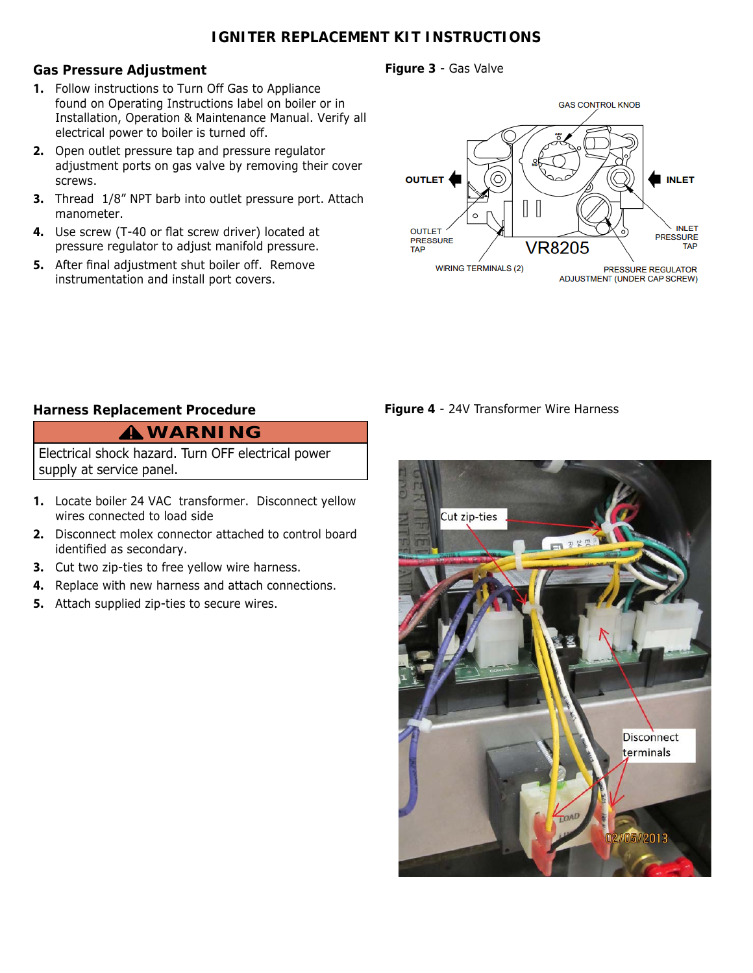### **IGNITER REPLACEMENT KIT INSTRUCTIONS**

#### **Gas Pressure Adjustment**

- **1.** Follow instructions to Turn Off Gas to Appliance found on Operating Instructions label on boiler or in Installation, Operation & Maintenance Manual. Verify all electrical power to boiler is turned off.
- **2.** Open outlet pressure tap and pressure regulator adjustment ports on gas valve by removing their cover screws.
- **3.** Thread 1/8" NPT barb into outlet pressure port. Attach manometer.
- 4. Use screw (T-40 or flat screw driver) located at pressure regulator to adjust manifold pressure.
- **5.** After final adjustment shut boiler off. Remove instrumentation and install port covers.

**Figure 3** - Gas Valve



**Figure 4** - 24V Transformer Wire Harness

### **Harness Replacement Procedure**

# **WARNING !**

Electrical shock hazard. Turn OFF electrical power supply at service panel.

- **1.** Locate boiler 24 VAC transformer. Disconnect yellow wires connected to load side
- **2.** Disconnect molex connector attached to control board identified as secondary.
- **3.** Cut two zip-ties to free yellow wire harness.
- **4.** Replace with new harness and attach connections.
- **5.** Attach supplied zip-ties to secure wires.